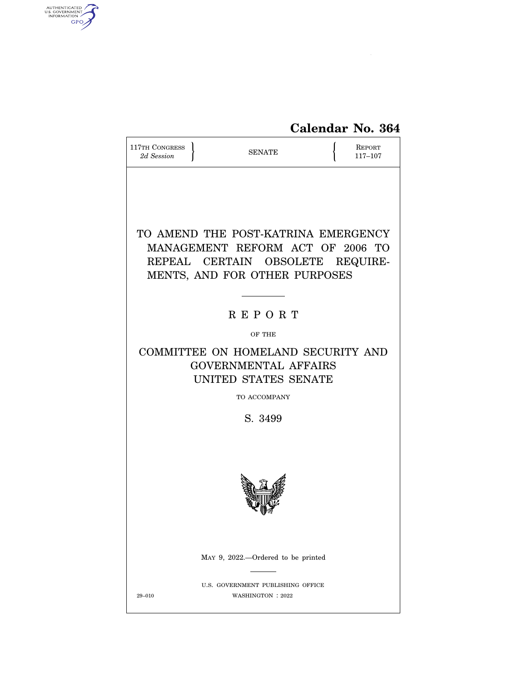

| 117TH CONGRESS<br>2d Session | <b>SENATE</b>                                                                                                                                | <b>REPORT</b><br>117-107 |
|------------------------------|----------------------------------------------------------------------------------------------------------------------------------------------|--------------------------|
|                              | TO AMEND THE POST-KATRINA EMERGENCY<br>MANAGEMENT REFORM ACT OF 2006 TO<br>REPEAL CERTAIN OBSOLETE REQUIRE-<br>MENTS, AND FOR OTHER PURPOSES |                          |
|                              | <b>REPORT</b>                                                                                                                                |                          |
|                              | OF THE                                                                                                                                       |                          |
|                              | COMMITTEE ON HOMELAND SECURITY AND<br><b>GOVERNMENTAL AFFAIRS</b><br>UNITED STATES SENATE                                                    |                          |
|                              | TO ACCOMPANY                                                                                                                                 |                          |
|                              | S. 3499                                                                                                                                      |                          |
|                              |                                                                                                                                              |                          |
|                              | MAY 9, 2022.—Ordered to be printed                                                                                                           |                          |
| $29 - 010$                   | U.S. GOVERNMENT PUBLISHING OFFICE<br>WASHINGTON : 2022                                                                                       |                          |

AUTHENTICATED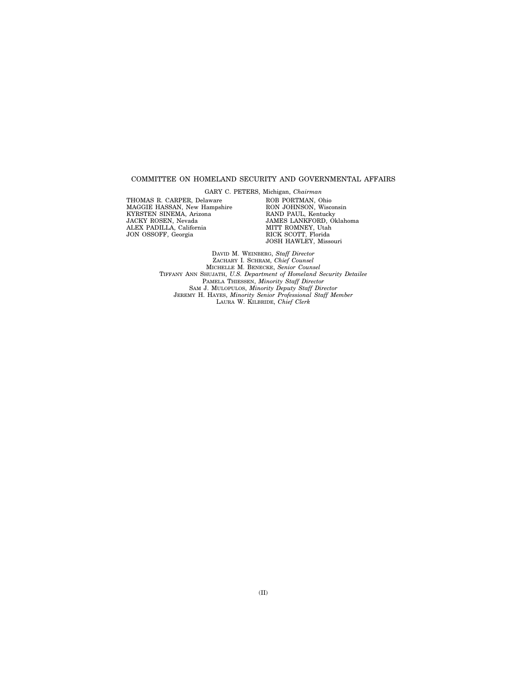#### COMMITTEE ON HOMELAND SECURITY AND GOVERNMENTAL AFFAIRS

THOMAS R. CARPER, Delaware MAGGIE HASSAN, New Hampshire KYRSTEN SINEMA, Arizona JACKY ROSEN, Nevada ALEX PADILLA, California JON OSSOFF, Georgia

GARY C. PETERS, Michigan, *Chairman*  ROB PORTMAN, Ohio RON JOHNSON, Wisconsin RAND PAUL, Kentucky JAMES LANKFORD, Oklahoma MITT ROMNEY, Utah RICK SCOTT, Florida JOSH HAWLEY, Missouri

DAVID M. WEINBERG, *Staff Director*  ZACHARY I. SCHRAM, *Chief Counsel*  MICHELLE M. BENECKE, *Senior Counsel*  TIFFANY ANN SHUJATH, *U.S. Department of Homeland Security Detailee*  PAMELA THIESSEN, *Minority Staff Director*  SAM J. MULOPULOS, *Minority Deputy Staff Director*  JEREMY H. HAYES, *Minority Senior Professional Staff Member*  LAURA W. KILBRIDE, *Chief Clerk*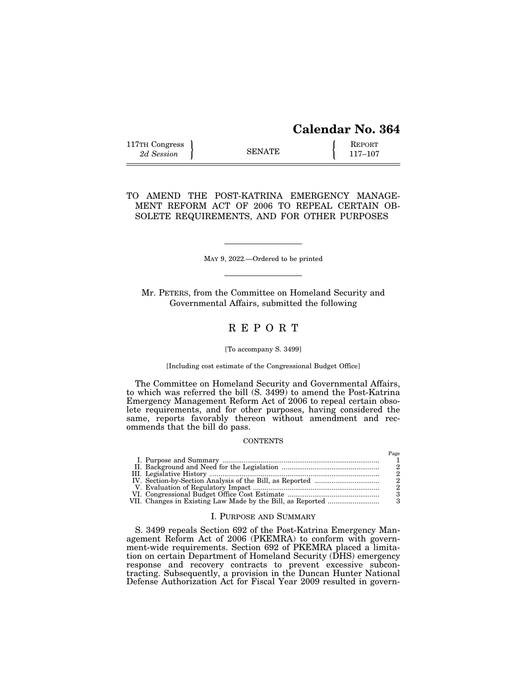| <b>Calendar No. 364</b> |  |  |
|-------------------------|--|--|
|-------------------------|--|--|

Page

| 117TH Congress |               | <b>REPORT</b> |
|----------------|---------------|---------------|
| 2d Session     | <b>SENATE</b> | 117–107       |

TO AMEND THE POST-KATRINA EMERGENCY MANAGE-MENT REFORM ACT OF 2006 TO REPEAL CERTAIN OB-SOLETE REQUIREMENTS, AND FOR OTHER PURPOSES

MAY 9, 2022.—Ordered to be printed

Mr. PETERS, from the Committee on Homeland Security and Governmental Affairs, submitted the following

## R E P O R T

#### [To accompany S. 3499]

#### [Including cost estimate of the Congressional Budget Office]

The Committee on Homeland Security and Governmental Affairs, to which was referred the bill (S. 3499) to amend the Post-Katrina Emergency Management Reform Act of 2006 to repeal certain obsolete requirements, and for other purposes, having considered the same, reports favorably thereon without amendment and recommends that the bill do pass.

#### **CONTENTS**

|  | ---- |
|--|------|
|  |      |
|  |      |
|  |      |
|  |      |
|  |      |
|  |      |
|  |      |

## I. PURPOSE AND SUMMARY

S. 3499 repeals Section 692 of the Post-Katrina Emergency Management Reform Act of 2006 (PKEMRA) to conform with government-wide requirements. Section 692 of PKEMRA placed a limitation on certain Department of Homeland Security (DHS) emergency response and recovery contracts to prevent excessive subcontracting. Subsequently, a provision in the Duncan Hunter National Defense Authorization Act for Fiscal Year 2009 resulted in govern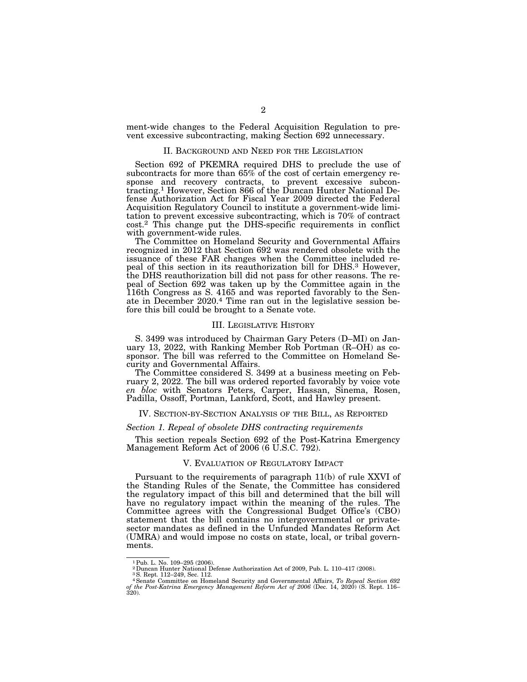ment-wide changes to the Federal Acquisition Regulation to prevent excessive subcontracting, making Section 692 unnecessary.

### II. BACKGROUND AND NEED FOR THE LEGISLATION

Section 692 of PKEMRA required DHS to preclude the use of subcontracts for more than 65% of the cost of certain emergency response and recovery contracts, to prevent excessive subcontracting.1 However, Section 866 of the Duncan Hunter National Defense Authorization Act for Fiscal Year 2009 directed the Federal Acquisition Regulatory Council to institute a government-wide limitation to prevent excessive subcontracting, which is 70% of contract cost.2 This change put the DHS-specific requirements in conflict with government-wide rules.

The Committee on Homeland Security and Governmental Affairs recognized in 2012 that Section 692 was rendered obsolete with the issuance of these FAR changes when the Committee included repeal of this section in its reauthorization bill for DHS.3 However, the DHS reauthorization bill did not pass for other reasons. The repeal of Section 692 was taken up by the Committee again in the 116th Congress as S. 4165 and was reported favorably to the Senate in December 2020.4 Time ran out in the legislative session before this bill could be brought to a Senate vote.

#### III. LEGISLATIVE HISTORY

S. 3499 was introduced by Chairman Gary Peters (D–MI) on January 13, 2022, with Ranking Member Rob Portman (R–OH) as cosponsor. The bill was referred to the Committee on Homeland Security and Governmental Affairs.

The Committee considered S. 3499 at a business meeting on February 2, 2022. The bill was ordered reported favorably by voice vote *en bloc* with Senators Peters, Carper, Hassan, Sinema, Rosen, Padilla, Ossoff, Portman, Lankford, Scott, and Hawley present.

#### IV. SECTION-BY-SECTION ANALYSIS OF THE BILL, AS REPORTED

### *Section 1. Repeal of obsolete DHS contracting requirements*

This section repeals Section 692 of the Post-Katrina Emergency Management Reform Act of 2006 (6 U.S.C. 792).

#### V. EVALUATION OF REGULATORY IMPACT

Pursuant to the requirements of paragraph 11(b) of rule XXVI of the Standing Rules of the Senate, the Committee has considered the regulatory impact of this bill and determined that the bill will have no regulatory impact within the meaning of the rules. The Committee agrees with the Congressional Budget Office's (CBO) statement that the bill contains no intergovernmental or privatesector mandates as defined in the Unfunded Mandates Reform Act (UMRA) and would impose no costs on state, local, or tribal governments.

<sup>&</sup>lt;sup>1</sup> Pub. L. No. 109-295 (2006).

<sup>&</sup>lt;sup>2</sup> Duncan Hunter National Defense Authorization Act of 2009, Pub. L. 110–417 (2008).

<sup>3</sup>S. Rept. 112–249, Sec. 112.

<sup>4</sup>Senate Committee on Homeland Security and Governmental Affairs, *To Repeal Section 692 of the Post-Katrina Emergency Management Reform Act of 2006* (Dec. 14, 2020) (S. Rept. 116– 320).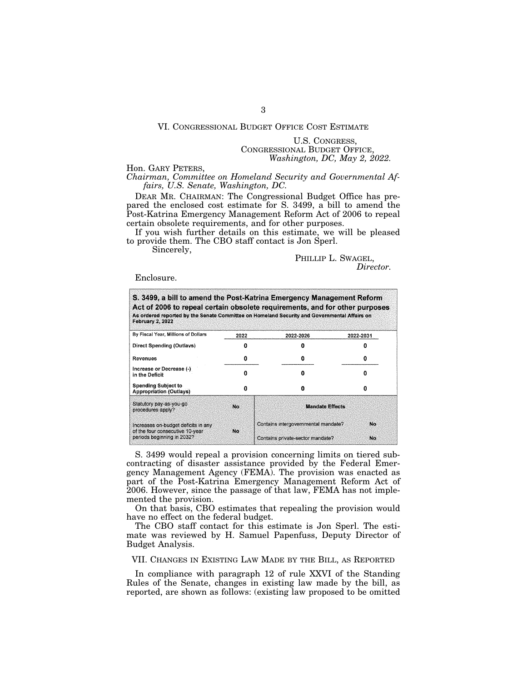### VI. CONGRESSIONAL BUDGET OFFICE COST ESTIMATE

## U.S. CONGRESS, CONGRESSIONAL BUDGET OFFICE, *Washington, DC, May 2, 2022.*

Hon. GARY PETERS,

*Chairman, Committee on Homeland Security and Governmental Affairs, U.S. Senate, Washington, DC.* 

DEAR MR. CHAIRMAN: The Congressional Budget Office has prepared the enclosed cost estimate for S. 3499, a bill to amend the Post-Katrina Emergency Management Reform Act of 2006 to repeal certain obsolete requirements, and for other purposes.

If you wish further details on this estimate, we will be pleased to provide them. The CBO staff contact is Jon Sperl.

Sincerely,

Enclosure.

| <b>February 2, 2022</b>                                       |      | S. 3499, a bill to amend the Post-Katrina Emergency Management Reform<br>Act of 2006 to repeal certain obsolete requirements, and for other purposes<br>As ordered reported by the Senate Committee on Homeland Security and Governmental Affairs on |           |  |
|---------------------------------------------------------------|------|------------------------------------------------------------------------------------------------------------------------------------------------------------------------------------------------------------------------------------------------------|-----------|--|
| By Fiscal Year, Millions of Dollars                           | 2022 | 2022-2026                                                                                                                                                                                                                                            | 2022-2031 |  |
| Direct Spending (Outlays)                                     |      |                                                                                                                                                                                                                                                      |           |  |
| <b>Revenues</b>                                               | 0    | Ω                                                                                                                                                                                                                                                    |           |  |
| Increase or Decrease (-)<br>in the Deficit                    | n    | Ω                                                                                                                                                                                                                                                    | п         |  |
| <b>Spending Subject to</b><br><b>Appropriation (Outlays)</b>  | O    | O                                                                                                                                                                                                                                                    | o         |  |
| Statutory pay-as-you-go<br>procedures apply?                  | No   | <b>Mandate Effects</b>                                                                                                                                                                                                                               |           |  |
| Increases on-budget deficits in any                           |      | Contains intergovernmental mandate?                                                                                                                                                                                                                  | No        |  |
| of the four consecutive 10-year<br>periods beginning in 2032? | No.  | Contains private-sector mandate?                                                                                                                                                                                                                     | No.       |  |

S. 3499 would repeal a provision concerning limits on tiered subcontracting of disaster assistance provided by the Federal Emergency Management Agency (FEMA). The provision was enacted as part of the Post-Katrina Emergency Management Reform Act of 2006. However, since the passage of that law, FEMA has not implemented the provision.

On that basis, CBO estimates that repealing the provision would have no effect on the federal budget.

The CBO staff contact for this estimate is Jon Sperl. The estimate was reviewed by H. Samuel Papenfuss, Deputy Director of Budget Analysis.

## VII. CHANGES IN EXISTING LAW MADE BY THE BILL, AS REPORTED

In compliance with paragraph 12 of rule XXVI of the Standing Rules of the Senate, changes in existing law made by the bill, as reported, are shown as follows: (existing law proposed to be omitted

PHILLIP L. SWAGEL, *Director.*